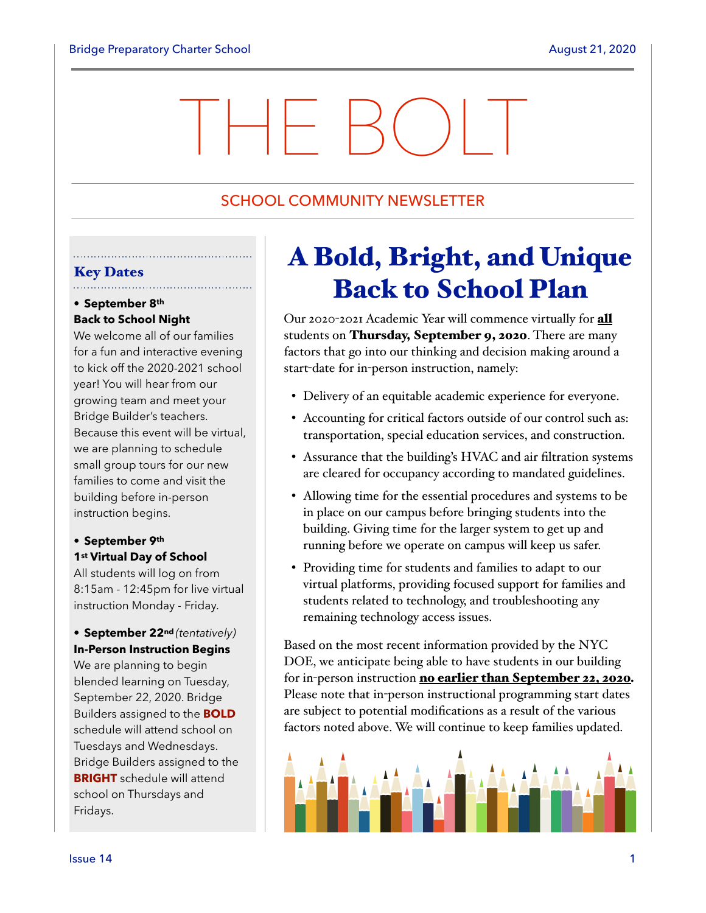# THE BOLT

# SCHOOL COMMUNITY NEWSLETTER

#### Key Dates . . . . . . . . . . . . . . . . . . . .

# • **September 8th Back to School Night**

We welcome all of our families for a fun and interactive evening to kick off the 2020-2021 school year! You will hear from our growing team and meet your Bridge Builder's teachers. Because this event will be virtual, we are planning to schedule small group tours for our new families to come and visit the building before in-person instruction begins.

# **• September 9th 1st Virtual Day of School**

All students will log on from 8:15am - 12:45pm for live virtual instruction Monday - Friday.

# **• September 22nd** *(tentatively)*  **In-Person Instruction Begins**

We are planning to begin blended learning on Tuesday, September 22, 2020. Bridge Builders assigned to the **BOLD** schedule will attend school on Tuesdays and Wednesdays. Bridge Builders assigned to the **BRIGHT** schedule will attend school on Thursdays and Fridays.

# A Bold, Bright, and Unique Back to School Plan

Our 2020-2021 Academic Year will commence virtually for all students on Thursday, September 9, 2020. There are many factors that go into our thinking and decision making around a start-date for in-person instruction, namely:

- Delivery of an equitable academic experience for everyone.
- Accounting for critical factors outside of our control such as: transportation, special education services, and construction.
- Assurance that the building's HVAC and air filtration systems are cleared for occupancy according to mandated guidelines.
- Allowing time for the essential procedures and systems to be in place on our campus before bringing students into the building. Giving time for the larger system to get up and running before we operate on campus will keep us safer.
- Providing time for students and families to adapt to our virtual platforms, providing focused support for families and students related to technology, and troubleshooting any remaining technology access issues.

Based on the most recent information provided by the NYC DOE, we anticipate being able to have students in our building for in-person instruction no earlier than September 22, 2020*.*  Please note that in-person instructional programming start dates are subject to potential modifications as a result of the various factors noted above. We will continue to keep families updated.